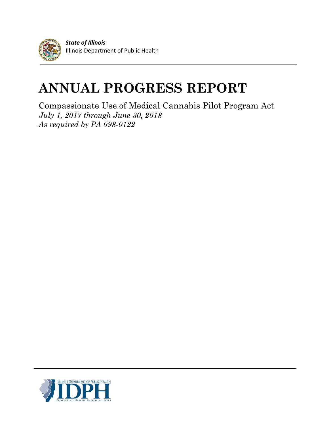

*State of Illinois* Illinois Department of Public Health

# **ANNUAL PROGRESS REPORT**

Compassionate Use of Medical Cannabis Pilot Program Act *July 1, 2017 through June 30, 2018 As required by PA 098-0122*

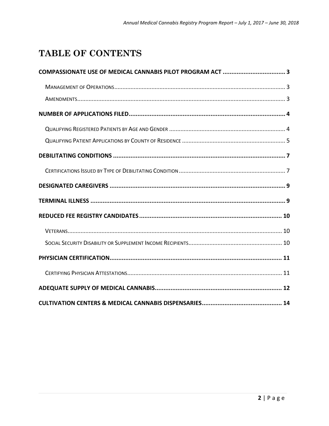# TABLE OF CONTENTS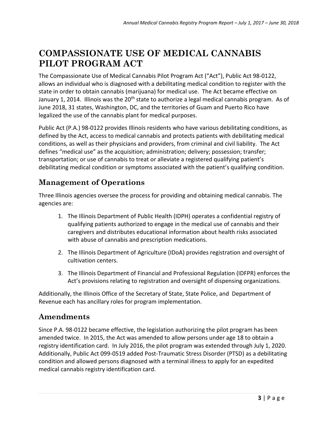## **COMPASSIONATE USE OF MEDICAL CANNABIS PILOT PROGRAM ACT**

The Compassionate Use of Medical Cannabis Pilot Program Act ("Act"), Public Act 98-0122, allows an individual who is diagnosed with a debilitating medical condition to register with the state in order to obtain cannabis (marijuana) for medical use. The Act became effective on January 1, 2014. Illinois was the 20<sup>th</sup> state to authorize a legal medical cannabis program. As of June 2018, 31 states, Washington, DC, and the territories of Guam and Puerto Rico have legalized the use of the cannabis plant for medical purposes.

Public Act (P.A.) 98-0122 provides Illinois residents who have various debilitating conditions, as defined by the Act, access to medical cannabis and protects patients with debilitating medical conditions, as well as their physicians and providers, from criminal and civil liability. The Act defines "medical use" as the acquisition; administration; delivery; possession; transfer; transportation; or use of cannabis to treat or alleviate a registered qualifying patient's debilitating medical condition or symptoms associated with the patient's qualifying condition.

### **Management of Operations**

Three Illinois agencies oversee the process for providing and obtaining medical cannabis. The agencies are:

- 1. The Illinois Department of Public Health (IDPH) operates a confidential registry of qualifying patients authorized to engage in the medical use of cannabis and their caregivers and distributes educational information about health risks associated with abuse of cannabis and prescription medications.
- 2. The Illinois Department of Agriculture (IDoA) provides registration and oversight of cultivation centers.
- 3. The Illinois Department of Financial and Professional Regulation (IDFPR) enforces the Act's provisions relating to registration and oversight of dispensing organizations.

Additionally, the Illinois Office of the Secretary of State, State Police, and Department of Revenue each has ancillary roles for program implementation.

### **Amendments**

Since P.A. 98-0122 became effective, the legislation authorizing the pilot program has been amended twice. In 2015, the Act was amended to allow persons under age 18 to obtain a registry identification card. In July 2016, the pilot program was extended through July 1, 2020. Additionally, Public Act 099-0519 added Post-Traumatic Stress Disorder (PTSD) as a debilitating condition and allowed persons diagnosed with a terminal illness to apply for an expedited medical cannabis registry identification card.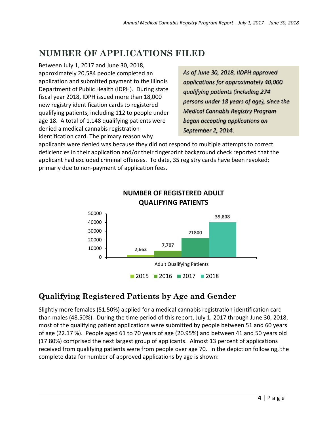# **NUMBER OF APPLICATIONS FILED**

Between July 1, 2017 and June 30, 2018, approximately 20,584 people completed an application and submitted payment to the Illinois Department of Public Health (IDPH). During state fiscal year 2018, IDPH issued more than 18,000 new registry identification cards to registered qualifying patients, including 112 to people under age 18. A total of 1,148 qualifying patients were denied a medical cannabis registration identification card. The primary reason why

*As of June 30, 2018, IIDPH approved applications for approximately 40,000 qualifying patients (including 274 persons under 18 years of age), since the Medical Cannabis Registry Program began accepting applications on September 2, 2014.* 

applicants were denied was because they did not respond to multiple attempts to correct deficiencies in their application and/or their fingerprint background check reported that the applicant had excluded criminal offenses. To date, 35 registry cards have been revoked; primarly due to non-payment of application fees.



#### **NUMBER OF REGISTERED ADULT QUALIFYING PATIENTS**

#### **Qualifying Registered Patients by Age and Gender**

Slightly more females (51.50%) applied for a medical cannabis registration identification card than males (48.50%). During the time period of this report, July 1, 2017 through June 30, 2018, most of the qualifying patient applications were submitted by people between 51 and 60 years of age (22.17 %). People aged 61 to 70 years of age (20.95%) and between 41 and 50 years old (17.80%) comprised the next largest group of applicants. Almost 13 percent of applications received from qualifying patients were from people over age 70. In the depiction following, the complete data for number of approved applications by age is shown: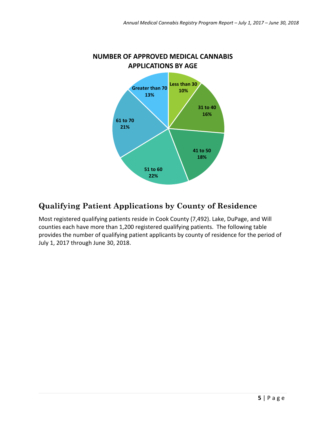

# **NUMBER OF APPROVED MEDICAL CANNABIS**

### **Qualifying Patient Applications by County of Residence**

Most registered qualifying patients reside in Cook County (7,492). Lake, DuPage, and Will counties each have more than 1,200 registered qualifying patients. The following table provides the number of qualifying patient applicants by county of residence for the period of July 1, 2017 through June 30, 2018.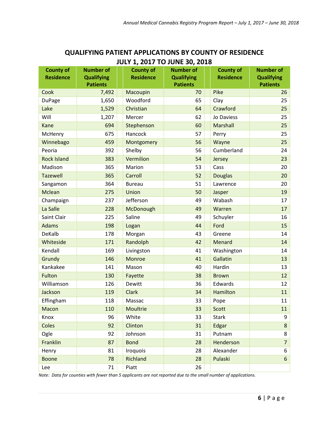| <b>County of</b><br><b>Residence</b> | <b>Number of</b><br><b>Qualifying</b><br><b>Patients</b> | <b>County of</b><br><b>Residence</b> | <b>Number of</b><br><b>Qualifying</b><br><b>Patients</b> | <b>County of</b><br><b>Residence</b> | <b>Number of</b><br><b>Qualifying</b><br><b>Patients</b> |
|--------------------------------------|----------------------------------------------------------|--------------------------------------|----------------------------------------------------------|--------------------------------------|----------------------------------------------------------|
| Cook                                 | 7,492                                                    | Macoupin                             | 70                                                       | Pike                                 | 26                                                       |
| <b>DuPage</b>                        | 1,650                                                    | Woodford                             | 65                                                       | Clay                                 | 25                                                       |
| Lake                                 | 1,529                                                    | Christian                            | 64                                                       | Crawford                             | 25                                                       |
| Will                                 | 1,207                                                    | Mercer                               | 62                                                       | Jo Daviess                           | 25                                                       |
| Kane                                 | 694                                                      | Stephenson                           | 60                                                       | Marshall                             | 25                                                       |
| McHenry                              | 675                                                      | Hancock                              | 57                                                       | Perry                                | 25                                                       |
| Winnebago                            | 459                                                      | Montgomery                           | 56                                                       | Wayne                                | 25                                                       |
| Peoria                               | 392                                                      | Shelby                               | 56                                                       | Cumberland                           | 24                                                       |
| <b>Rock Island</b>                   | 383                                                      | Vermilion                            | 54                                                       | Jersey                               | 23                                                       |
| Madison                              | 365                                                      | Marion                               | 53                                                       | Cass                                 | 20                                                       |
| <b>Tazewell</b>                      | 365                                                      | Carroll                              | 52                                                       | <b>Douglas</b>                       | 20                                                       |
| Sangamon                             | 364                                                      | <b>Bureau</b>                        | 51                                                       | Lawrence                             | 20                                                       |
| Mclean                               | 275                                                      | Union                                | 50                                                       | Jasper                               | 19                                                       |
| Champaign                            | 237                                                      | Jefferson                            | 49                                                       | Wabash                               | 17                                                       |
| La Salle                             | 228                                                      | McDonough                            | 49                                                       | Warren                               | 17                                                       |
| Saint Clair                          | 225                                                      | Saline                               | 49                                                       | Schuyler                             | 16                                                       |
| <b>Adams</b>                         | 198                                                      | Logan                                | 44                                                       | Ford                                 | 15                                                       |
| DeKalb                               | 178                                                      | Morgan                               | 43                                                       | Greene                               | 14                                                       |
| Whiteside                            | 171                                                      | Randolph                             | 42                                                       | Menard                               | 14                                                       |
| Kendall                              | 169                                                      | Livingston                           | 41                                                       | Washington                           | 14                                                       |
| Grundy                               | 146                                                      | Monroe                               | 41                                                       | Gallatin                             | 13                                                       |
| Kankakee                             | 141                                                      | Mason                                | 40                                                       | Hardin                               | 13                                                       |
| Fulton                               | 130                                                      | Fayette                              | 38                                                       | <b>Brown</b>                         | 12                                                       |
| Williamson                           | 126                                                      | Dewitt                               | 36                                                       | Edwards                              | 12                                                       |
| Jackson                              | 119                                                      | <b>Clark</b>                         | 34                                                       | Hamilton                             | 11                                                       |
| Effingham                            | 118                                                      | Massac                               | 33                                                       | Pope                                 | 11                                                       |
| Macon                                | 110                                                      | Moultrie                             | 33                                                       | Scott                                | 11                                                       |
| Knox                                 | 96                                                       | White                                | 33                                                       | <b>Stark</b>                         | 9                                                        |
| Coles                                | 92                                                       | Clinton                              | 31                                                       | Edgar                                | 8                                                        |
| Ogle                                 | 92                                                       | Johnson                              | 31                                                       | Putnam                               | 8                                                        |
| Franklin                             | 87                                                       | <b>Bond</b>                          | 28                                                       | Henderson                            | $\overline{7}$                                           |
| Henry                                | 81                                                       | Iroquois                             | 28                                                       | Alexander                            | 6                                                        |
| <b>Boone</b>                         | 78                                                       | Richland                             | 28                                                       | Pulaski                              | $6\phantom{.}$                                           |
| Lee                                  | 71                                                       | Piatt                                | 26                                                       |                                      |                                                          |

#### **QUALIFYING PATIENT APPLICATIONS BY COUNTY OF RESIDENCE JULY 1, 2017 TO JUNE 30, 2018**

*Note: Data for counties with fewer than 5 applicants are not reported due to the small number of applications.*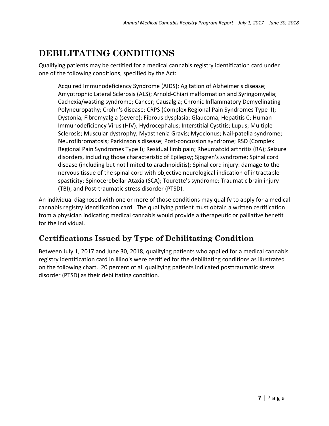# **DEBILITATING CONDITIONS**

Qualifying patients may be certified for a medical cannabis registry identification card under one of the following conditions, specified by the Act:

Acquired Immunodeficiency Syndrome (AIDS); Agitation of Alzheimer's disease; Amyotrophic Lateral Sclerosis (ALS); Arnold-Chiari malformation and Syringomyelia; Cachexia/wasting syndrome; Cancer; Causalgia; Chronic Inflammatory Demyelinating Polyneuropathy; Crohn's disease; CRPS (Complex Regional Pain Syndromes Type II); Dystonia; Fibromyalgia (severe); Fibrous dysplasia; Glaucoma; Hepatitis C; Human Immunodeficiency Virus (HIV); Hydrocephalus; Interstitial Cystitis; Lupus; Multiple Sclerosis; Muscular dystrophy; Myasthenia Gravis; Myoclonus; Nail-patella syndrome; Neurofibromatosis; Parkinson's disease; Post-concussion syndrome; RSD (Complex Regional Pain Syndromes Type I); Residual limb pain; Rheumatoid arthritis (RA); Seizure disorders, including those characteristic of Epilepsy; Sjogren's syndrome; Spinal cord disease (including but not limited to arachnoiditis); Spinal cord injury: damage to the nervous tissue of the spinal cord with objective neurological indication of intractable spasticity; Spinocerebellar Ataxia (SCA); Tourette's syndrome; Traumatic brain injury (TBI); and Post-traumatic stress disorder (PTSD).

An individual diagnosed with one or more of those conditions may qualify to apply for a medical cannabis registry identification card. The qualifying patient must obtain a written certification from a physician indicating medical cannabis would provide a therapeutic or palliative benefit for the individual.

### **Certifications Issued by Type of Debilitating Condition**

Between July 1, 2017 and June 30, 2018, qualifying patients who applied for a medical cannabis registry identification card in Illinois were certified for the debilitating conditions as illustrated on the following chart. 20 percent of all qualifying patients indicated posttraumatic stress disorder (PTSD) as their debilitating condition.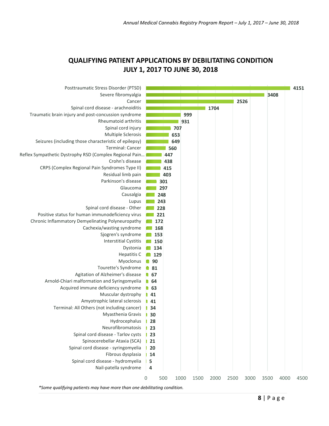#### **QUALIFYING PATIENT APPLICATIONS BY DEBILITATING CONDITION JULY 1, 2017 TO JUNE 30, 2018**



*\*Some qualifying patients may have more than one debilitating condition.*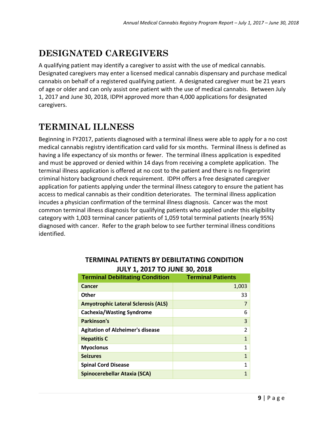# **DESIGNATED CAREGIVERS**

A qualifying patient may identify a caregiver to assist with the use of medical cannabis. Designated caregivers may enter a licensed medical cannabis dispensary and purchase medical cannabis on behalf of a registered qualifying patient. A designated caregiver must be 21 years of age or older and can only assist one patient with the use of medical cannabis. Between July 1, 2017 and June 30, 2018, IDPH approved more than 4,000 applications for designated caregivers.

## **TERMINAL ILLNESS**

Beginning in FY2017, patients diagnosed with a terminal illness were able to apply for a no cost medical cannabis registry identification card valid for six months. Terminal illness is defined as having a life expectancy of six months or fewer. The terminal illness application is expedited and must be approved or denied within 14 days from receiving a complete application. The terminal illness application is offered at no cost to the patient and there is no fingerprint criminal history background check requirement. IDPH offers a free designated caregiver application for patients applying under the terminal illness category to ensure the patient has access to medical cannabis as their condition deteriorates. The terminal illness application incudes a physician confirmation of the terminal illness diagnosis. Cancer was the most common terminal illness diagnosis for qualifying patients who applied under this eligibility category with 1,003 terminal cancer patients of 1,059 total terminal patients (nearly 95%) diagnosed with cancer. Refer to the graph below to see further terminal illness conditions identified.

| <b>Terminal Debilitating Condition</b>     | <b>Terminal Patients</b> |
|--------------------------------------------|--------------------------|
| Cancer                                     | 1,003                    |
| Other                                      | 33                       |
| <b>Amyotrophic Lateral Sclerosis (ALS)</b> | 7                        |
| <b>Cachexia/Wasting Syndrome</b>           | 6                        |
| Parkinson's                                | 3                        |
| <b>Agitation of Alzheimer's disease</b>    | $\overline{2}$           |
| <b>Hepatitis C</b>                         | $\overline{1}$           |
| <b>Myoclonus</b>                           | 1                        |
| <b>Seizures</b>                            | $\mathbf{1}$             |
| <b>Spinal Cord Disease</b>                 | $\mathbf{1}$             |
| Spinocerebellar Ataxia (SCA)               | 1                        |

#### **TERMINAL PATIENTS BY DEBILITATING CONDITION JULY 1, 2017 TO JUNE 30, 2018**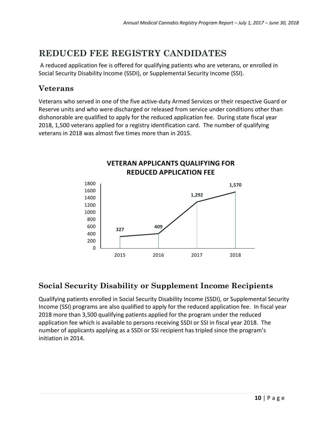# **REDUCED FEE REGISTRY CANDIDATES**

A reduced application fee is offered for qualifying patients who are veterans, or enrolled in Social Security Disability Income (SSDI), or Supplemental Security Income (SSI).

#### **Veterans**

Veterans who served in one of the five active-duty Armed Services or their respective Guard or Reserve units and who were discharged or released from service under conditions other than dishonorable are qualified to apply for the reduced application fee. During state fiscal year 2018, 1,500 veterans applied for a registry identification card. The number of qualifying veterans in 2018 was almost five times more than in 2015.



### **Social Security Disability or Supplement Income Recipients**

Qualifying patients enrolled in Social Security Disability Income (SSDI), or Supplemental Security Income (SSI) programs are also qualified to apply for the reduced application fee. In fiscal year 2018 more than 3,500 qualifying patients applied for the program under the reduced application fee which is available to persons receiving SSDI or SSI in fiscal year 2018. The number of applicants applying as a SSDI or SSI recipient has tripled since the program's initiation in 2014.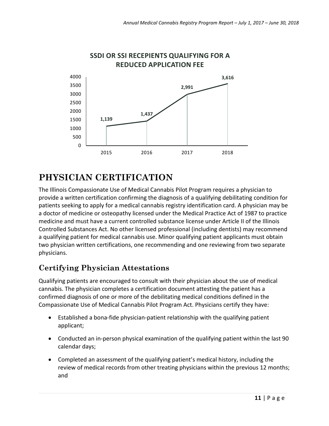

#### **SSDI OR SSI RECEPIENTS QUALIFYING FOR A REDUCED APPLICATION FEE**

# **PHYSICIAN CERTIFICATION**

The Illinois Compassionate Use of Medical Cannabis Pilot Program requires a physician to provide a written certification confirming the diagnosis of a qualifying debilitating condition for patients seeking to apply for a medical cannabis registry identification card. A physician may be a doctor of medicine or osteopathy licensed under the Medical Practice Act of 1987 to practice medicine and must have a current controlled substance license under Article II of the Illinois Controlled Substances Act. No other licensed professional (including dentists) may recommend a qualifying patient for medical cannabis use. Minor qualifying patient applicants must obtain two physician written certifications, one recommending and one reviewing from two separate physicians.

### **Certifying Physician Attestations**

Qualifying patients are encouraged to consult with their physician about the use of medical cannabis. The physician completes a certification document attesting the patient has a confirmed diagnosis of one or more of the debilitating medical conditions defined in the Compassionate Use of Medical Cannabis Pilot Program Act. Physicians certify they have:

- Established a bona-fide physician-patient relationship with the qualifying patient applicant;
- Conducted an in-person physical examination of the qualifying patient within the last 90 calendar days;
- Completed an assessment of the qualifying patient's medical history, including the review of medical records from other treating physicians within the previous 12 months; and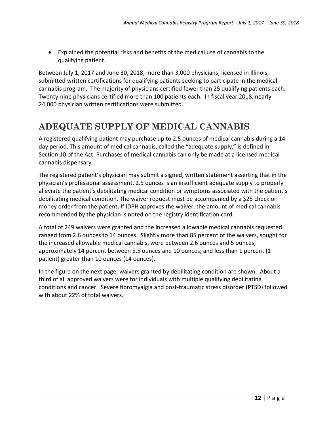• Explained the potential risks and benefits of the medical use of cannabis to the qualifying patient.

Between July 1, 2017 and June 30, 2018, more than 3,000 physicians, licensed in Illinois, submitted written certifications for qualifying patients seeking to participate in the medical cannabis program. The majority of physicians certified fewer than 25 qualifying patients each. Twenty-nine physicians certified more than 100 patients each. In fiscal year 2018, nearly 24,000 physician written certifications were submitted.

# **ADEQUATE SUPPLY OF MEDICAL CANNABIS**

A registered qualifying patient may purchase up to 2.5 ounces of medical cannabis during a 14 day period. This amount of medical cannabis, called the "adequate supply," is defined in Section 10 of the Act. Purchases of medical cannabis can only be made at a licensed medical cannabis dispensary.

The registered patient's physician may submit a signed, written statement asserting that in the physician's professional assessment, 2.5 ounces is an insufficient adequate supply to properly alleviate the patient's debilitating medical condition or symptoms associated with the patient's debilitating medical condition. The waiver request must be accompanied by a \$25 check or money order from the patient. If IDPH approves the waiver, the amount of medical cannabis recommended by the physician is noted on the registry identification card.

A total of 249 waivers were granted and the increased allowable medical cannabis requested ranged from 2.6 ounces to 14 ounces. Slightly more than 85 percent of the waivers, sought for the increased allowable medical cannabis, were between 2.6 ounces and 5 ounces; approximately 14 percent between 5.5 ounces and 10 ounces; and less than 1 percent (1 patient) greater than 10 ounces (14 ounces).

In the figure on the next page, waivers granted by debilitating condition are shown. About a third of all approved waivers were for individuals with multiple qualifying debilitating conditions and cancer. Severe fibromyalgia and post-traumatic stress disorder (PTSD) followed with about 22% of total waivers.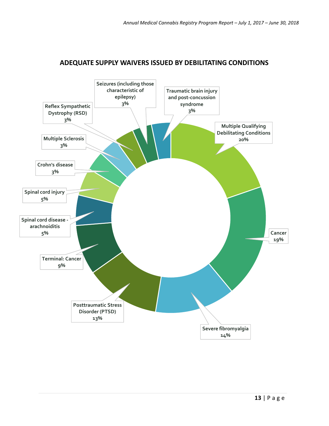

#### **ADEQUATE SUPPLY WAIVERS ISSUED BY DEBILITATING CONDITIONS**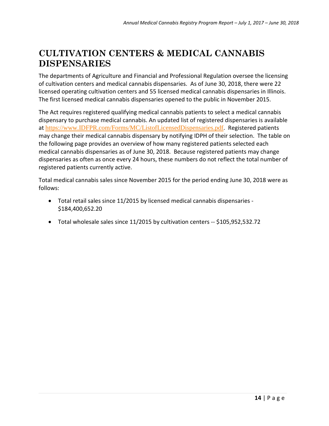### **CULTIVATION CENTERS & MEDICAL CANNABIS DISPENSARIES**

The departments of Agriculture and Financial and Professional Regulation oversee the licensing of cultivation centers and medical cannabis dispensaries. As of June 30, 2018, there were 22 licensed operating cultivation centers and 55 licensed medical cannabis dispensaries in Illinois. The first licensed medical cannabis dispensaries opened to the public in November 2015.

The Act requires registered qualifying medical cannabis patients to select a medical cannabis dispensary to purchase medical cannabis. An updated list of registered dispensaries is available at https://www.IDFPR.com/Forms/MC/ListofLicensedDispensaries.pdf. Registered patients may change their medical cannabis dispensary by notifying IDPH of their selection. The table on the following page provides an overview of how many registered patients selected each medical cannabis dispensaries as of June 30, 2018. Because registered patients may change dispensaries as often as once every 24 hours, these numbers do not reflect the total number of registered patients currently active.

Total medical cannabis sales since November 2015 for the period ending June 30, 2018 were as follows:

- Total retail sales since 11/2015 by licensed medical cannabis dispensaries \$184,400,652.20
- Total wholesale sales since 11/2015 by cultivation centers -- \$105,952,532.72